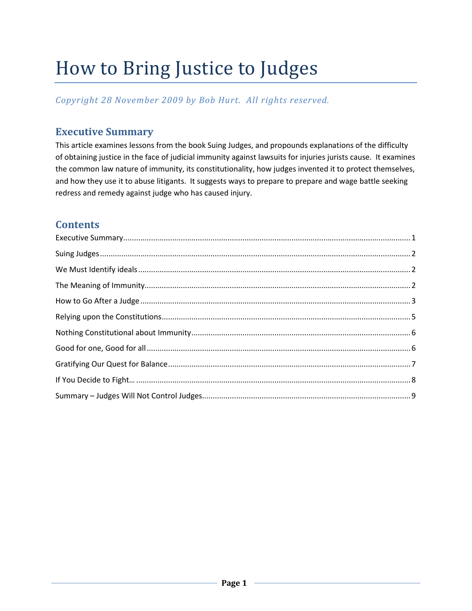# How to Bring Justice to Judges

*Copyright 28 November 2009 by Bob Hurt. All rights reserved.*

# <span id="page-0-0"></span>**Executive Summary**

This article examines lessons from the book Suing Judges, and propounds explanations of the difficulty of obtaining justice in the face of judicial immunity against lawsuits for injuries jurists cause. It examines the common law nature of immunity, its constitutionality, how judges invented it to protect themselves, and how they use it to abuse litigants. It suggests ways to prepare to prepare and wage battle seeking redress and remedy against judge who has caused injury.

# **Contents**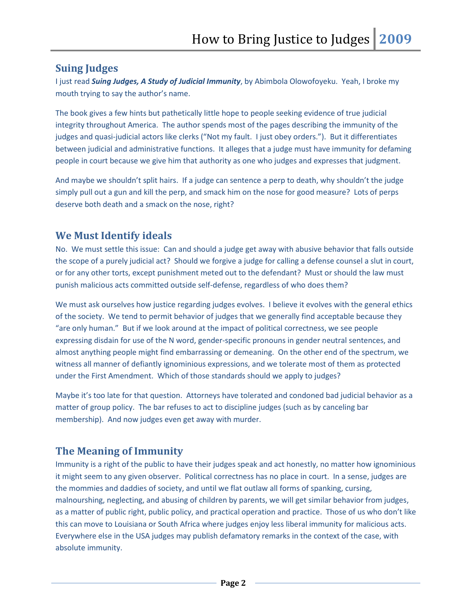#### <span id="page-1-0"></span>**Suing Judges**

I just read *Suing Judges, A Study of Judicial Immunity*, by Abimbola Olowofoyeku. Yeah, I broke my mouth trying to say the author's name.

The book gives a few hints but pathetically little hope to people seeking evidence of true judicial integrity throughout America. The author spends most of the pages describing the immunity of the judges and quasi-judicial actors like clerks ("Not my fault. I just obey orders."). But it differentiates between judicial and administrative functions. It alleges that a judge must have immunity for defaming people in court because we give him that authority as one who judges and expresses that judgment.

And maybe we shouldn't split hairs. If a judge can sentence a perp to death, why shouldn't the judge simply pull out a gun and kill the perp, and smack him on the nose for good measure? Lots of perps deserve both death and a smack on the nose, right?

## <span id="page-1-1"></span>**We Must Identify ideals**

No. We must settle this issue: Can and should a judge get away with abusive behavior that falls outside the scope of a purely judicial act? Should we forgive a judge for calling a defense counsel a slut in court, or for any other torts, except punishment meted out to the defendant? Must or should the law must punish malicious acts committed outside self-defense, regardless of who does them?

We must ask ourselves how justice regarding judges evolves. I believe it evolves with the general ethics of the society. We tend to permit behavior of judges that we generally find acceptable because they "are only human." But if we look around at the impact of political correctness, we see people expressing disdain for use of the N word, gender-specific pronouns in gender neutral sentences, and almost anything people might find embarrassing or demeaning. On the other end of the spectrum, we witness all manner of defiantly ignominious expressions, and we tolerate most of them as protected under the First Amendment. Which of those standards should we apply to judges?

Maybe it's too late for that question. Attorneys have tolerated and condoned bad judicial behavior as a matter of group policy. The bar refuses to act to discipline judges (such as by canceling bar membership). And now judges even get away with murder.

# <span id="page-1-2"></span>**The Meaning of Immunity**

Immunity is a right of the public to have their judges speak and act honestly, no matter how ignominious it might seem to any given observer. Political correctness has no place in court. In a sense, judges are the mommies and daddies of society, and until we flat outlaw all forms of spanking, cursing, malnourshing, neglecting, and abusing of children by parents, we will get similar behavior from judges, as a matter of public right, public policy, and practical operation and practice. Those of us who don't like this can move to Louisiana or South Africa where judges enjoy less liberal immunity for malicious acts. Everywhere else in the USA judges may publish defamatory remarks in the context of the case, with absolute immunity.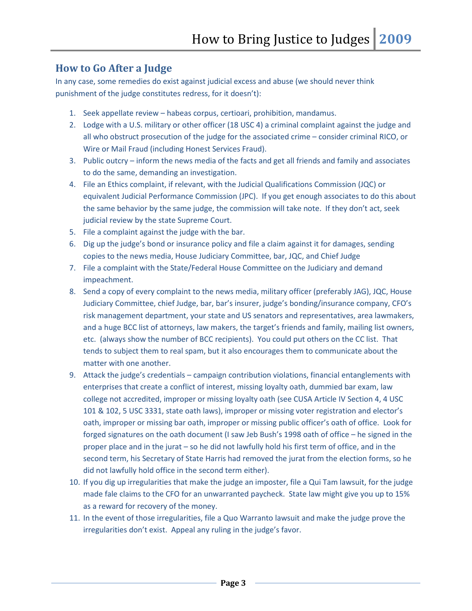## <span id="page-2-0"></span>**How to Go After a Judge**

In any case, some remedies do exist against judicial excess and abuse (we should never think punishment of the judge constitutes redress, for it doesn't):

- 1. Seek appellate review habeas corpus, certioari, prohibition, mandamus.
- 2. Lodge with a U.S. military or other officer (18 USC 4) a criminal complaint against the judge and all who obstruct prosecution of the judge for the associated crime – consider criminal RICO, or Wire or Mail Fraud (including Honest Services Fraud).
- 3. Public outcry inform the news media of the facts and get all friends and family and associates to do the same, demanding an investigation.
- 4. File an Ethics complaint, if relevant, with the Judicial Qualifications Commission (JQC) or equivalent Judicial Performance Commission (JPC). If you get enough associates to do this about the same behavior by the same judge, the commission will take note. If they don't act, seek judicial review by the state Supreme Court.
- 5. File a complaint against the judge with the bar.
- 6. Dig up the judge's bond or insurance policy and file a claim against it for damages, sending copies to the news media, House Judiciary Committee, bar, JQC, and Chief Judge
- 7. File a complaint with the State/Federal House Committee on the Judiciary and demand impeachment.
- 8. Send a copy of every complaint to the news media, military officer (preferably JAG), JQC, House Judiciary Committee, chief Judge, bar, bar's insurer, judge's bonding/insurance company, CFO's risk management department, your state and US senators and representatives, area lawmakers, and a huge BCC list of attorneys, law makers, the target's friends and family, mailing list owners, etc. (always show the number of BCC recipients). You could put others on the CC list. That tends to subject them to real spam, but it also encourages them to communicate about the matter with one another.
- 9. Attack the judge's credentials campaign contribution violations, financial entanglements with enterprises that create a conflict of interest, missing loyalty oath, dummied bar exam, law college not accredited, improper or missing loyalty oath (see CUSA Article IV Section 4, 4 USC 101 & 102, 5 USC 3331, state oath laws), improper or missing voter registration and elector's oath, improper or missing bar oath, improper or missing public officer's oath of office. Look for forged signatures on the oath document (I saw Jeb Bush's 1998 oath of office – he signed in the proper place and in the jurat – so he did not lawfully hold his first term of office, and in the second term, his Secretary of State Harris had removed the jurat from the election forms, so he did not lawfully hold office in the second term either).
- 10. If you dig up irregularities that make the judge an imposter, file a Qui Tam lawsuit, for the judge made fale claims to the CFO for an unwarranted paycheck. State law might give you up to 15% as a reward for recovery of the money.
- 11. In the event of those irregularities, file a Quo Warranto lawsuit and make the judge prove the irregularities don't exist. Appeal any ruling in the judge's favor.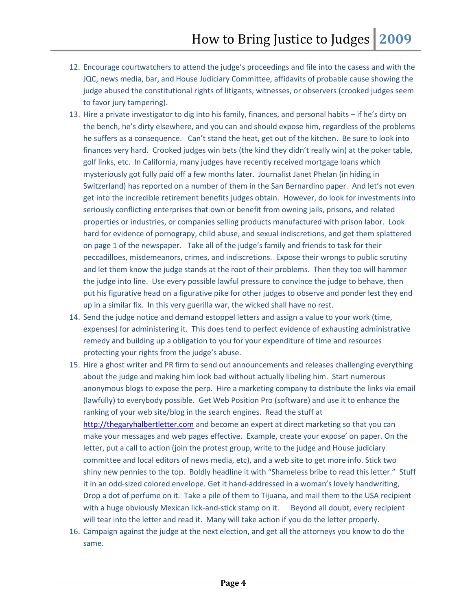- 12. Encourage courtwatchers to attend the judge's proceedings and file into the casess and with the JQC, news media, bar, and House Judiciary Committee, affidavits of probable cause showing the judge abused the constitutional rights of litigants, witnesses, or observers (crooked judges seem to favor jury tampering).
- 13. Hire a private investigator to dig into his family, finances, and personal habits if he's dirty on the bench, he's dirty elsewhere, and you can and should expose him, regardless of the problems he suffers as a consequence. Can't stand the heat, get out of the kitchen. Be sure to look into finances very hard. Crooked judges win bets (the kind they didn't really win) at the poker table, golf links, etc. In California, many judges have recently received mortgage loans which mysteriously got fully paid off a few months later. Journalist Janet Phelan (in hiding in Switzerland) has reported on a number of them in the San Bernardino paper. And let's not even get into the incredible retirement benefits judges obtain. However, do look for investments into seriously conflicting enterprises that own or benefit from owning jails, prisons, and related properties or industries, or companies selling products manufactured with prison labor. Look hard for evidence of pornograpy, child abuse, and sexual indiscretions, and get them splattered on page 1 of the newspaper. Take all of the judge's family and friends to task for their peccadilloes, misdemeanors, crimes, and indiscretions. Expose their wrongs to public scrutiny and let them know the judge stands at the root of their problems. Then they too will hammer the judge into line. Use every possible lawful pressure to convince the judge to behave, then put his figurative head on a figurative pike for other judges to observe and ponder lest they end up in a similar fix. In this very guerilla war, the wicked shall have no rest.
- 14. Send the judge notice and demand estoppel letters and assign a value to your work (time, expenses) for administering it. This does tend to perfect evidence of exhausting administrative remedy and building up a obligation to you for your expenditure of time and resources protecting your rights from the judge's abuse.
- 15. Hire a ghost writer and PR firm to send out announcements and releases challenging everything about the judge and making him look bad without actually libeling him. Start numerous anonymous blogs to expose the perp. Hire a marketing company to distribute the links via email (lawfully) to everybody possible. Get Web Position Pro (software) and use it to enhance the ranking of your web site/blog in the search engines. Read the stuff at [http://thegaryhalbertletter.com](http://thegaryhalbertletter.com/) and become an expert at direct marketing so that you can make your messages and web pages effective. Example, create your expose' on paper. On the letter, put a call to action (join the protest group, write to the judge and House judiciary committee and local editors of news media, etc), and a web site to get more info. Stick two shiny new pennies to the top. Boldly headline it with "Shameless bribe to read this letter." Stuff it in an odd-sized colored envelope. Get it hand-addressed in a woman's lovely handwriting, Drop a dot of perfume on it. Take a pile of them to Tijuana, and mail them to the USA recipient with a huge obviously Mexican lick-and-stick stamp on it. Beyond all doubt, every recipient will tear into the letter and read it. Many will take action if you do the letter properly.
- 16. Campaign against the judge at the next election, and get all the attorneys you know to do the same.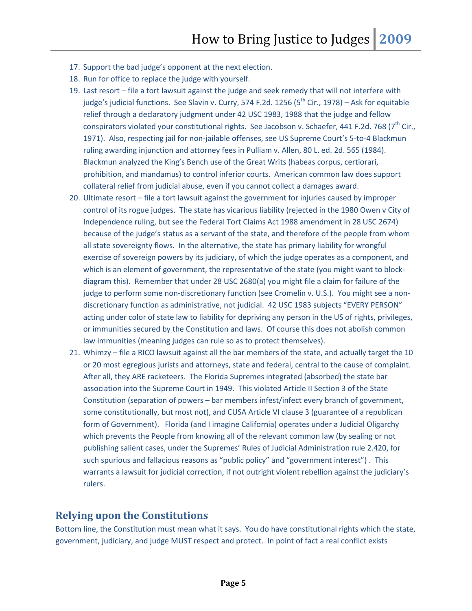- 17. Support the bad judge's opponent at the next election.
- 18. Run for office to replace the judge with yourself.
- 19. Last resort file a tort lawsuit against the judge and seek remedy that will not interfere with judge's judicial functions. See Slavin v. Curry, 574 F.2d. 1256 ( $5<sup>th</sup>$  Cir., 1978) – Ask for equitable relief through a declaratory judgment under 42 USC 1983, 1988 that the judge and fellow conspirators violated your constitutional rights. See Jacobson v. Schaefer, 441 F.2d. 768 (7<sup>th</sup> Cir., 1971). Also, respecting jail for non-jailable offenses, see US Supreme Court's 5-to-4 Blackmun ruling awarding injunction and attorney fees in Pulliam v. Allen, 80 L. ed. 2d. 565 (1984). Blackmun analyzed the King's Bench use of the Great Writs (habeas corpus, certiorari, prohibition, and mandamus) to control inferior courts. American common law does support collateral relief from judicial abuse, even if you cannot collect a damages award.
- 20. Ultimate resort file a tort lawsuit against the government for injuries caused by improper control of its rogue judges. The state has vicarious liability (rejected in the 1980 Owen v City of Independence ruling, but see the Federal Tort Claims Act 1988 amendment in 28 USC 2674) because of the judge's status as a servant of the state, and therefore of the people from whom all state sovereignty flows. In the alternative, the state has primary liability for wrongful exercise of sovereign powers by its judiciary, of which the judge operates as a component, and which is an element of government, the representative of the state (you might want to blockdiagram this). Remember that under 28 USC 2680(a) you might file a claim for failure of the judge to perform some non-discretionary function (see Cromelin v. U.S.). You might see a nondiscretionary function as administrative, not judicial. 42 USC 1983 subjects "EVERY PERSON" acting under color of state law to liability for depriving any person in the US of rights, privileges, or immunities secured by the Constitution and laws. Of course this does not abolish common law immunities (meaning judges can rule so as to protect themselves).
- 21. Whimzy file a RICO lawsuit against all the bar members of the state, and actually target the 10 or 20 most egregious jurists and attorneys, state and federal, central to the cause of complaint. After all, they ARE racketeers. The Florida Supremes integrated (absorbed) the state bar association into the Supreme Court in 1949. This violated Article II Section 3 of the State Constitution (separation of powers – bar members infest/infect every branch of government, some constitutionally, but most not), and CUSA Article VI clause 3 (guarantee of a republican form of Government). Florida (and I imagine California) operates under a Judicial Oligarchy which prevents the People from knowing all of the relevant common law (by sealing or not publishing salient cases, under the Supremes' Rules of Judicial Administration rule 2.420, for such spurious and fallacious reasons as "public policy" and "government interest") . This warrants a lawsuit for judicial correction, if not outright violent rebellion against the judiciary's rulers.

#### <span id="page-4-0"></span>**Relying upon the Constitutions**

Bottom line, the Constitution must mean what it says. You do have constitutional rights which the state, government, judiciary, and judge MUST respect and protect. In point of fact a real conflict exists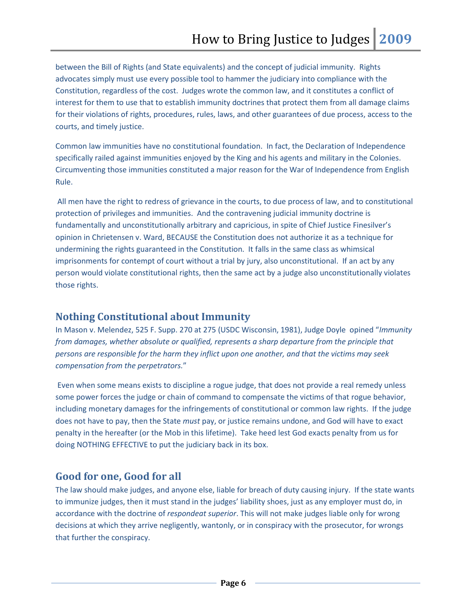between the Bill of Rights (and State equivalents) and the concept of judicial immunity. Rights advocates simply must use every possible tool to hammer the judiciary into compliance with the Constitution, regardless of the cost. Judges wrote the common law, and it constitutes a conflict of interest for them to use that to establish immunity doctrines that protect them from all damage claims for their violations of rights, procedures, rules, laws, and other guarantees of due process, access to the courts, and timely justice.

Common law immunities have no constitutional foundation. In fact, the Declaration of Independence specifically railed against immunities enjoyed by the King and his agents and military in the Colonies. Circumventing those immunities constituted a major reason for the War of Independence from English Rule.

All men have the right to redress of grievance in the courts, to due process of law, and to constitutional protection of privileges and immunities. And the contravening judicial immunity doctrine is fundamentally and unconstitutionally arbitrary and capricious, in spite of Chief Justice Finesilver's opinion in Chrietensen v. Ward, BECAUSE the Constitution does not authorize it as a technique for undermining the rights guaranteed in the Constitution. It falls in the same class as whimsical imprisonments for contempt of court without a trial by jury, also unconstitutional. If an act by any person would violate constitutional rights, then the same act by a judge also unconstitutionally violates those rights.

## <span id="page-5-0"></span>**Nothing Constitutional about Immunity**

In Mason v. Melendez, 525 F. Supp. 270 at 275 (USDC Wisconsin, 1981), Judge Doyle opined "*Immunity from damages, whether absolute or qualified, represents a sharp departure from the principle that persons are responsible for the harm they inflict upon one another, and that the victims may seek compensation from the perpetrators.*"

Even when some means exists to discipline a rogue judge, that does not provide a real remedy unless some power forces the judge or chain of command to compensate the victims of that rogue behavior, including monetary damages for the infringements of constitutional or common law rights. If the judge does not have to pay, then the State *must* pay, or justice remains undone, and God will have to exact penalty in the hereafter (or the Mob in this lifetime). Take heed lest God exacts penalty from us for doing NOTHING EFFECTIVE to put the judiciary back in its box.

## <span id="page-5-1"></span>**Good for one, Good for all**

The law should make judges, and anyone else, liable for breach of duty causing injury. If the state wants to immunize judges, then it must stand in the judges' liability shoes, just as any employer must do, in accordance with the doctrine of *respondeat superior*. This will not make judges liable only for wrong decisions at which they arrive negligently, wantonly, or in conspiracy with the prosecutor, for wrongs that further the conspiracy.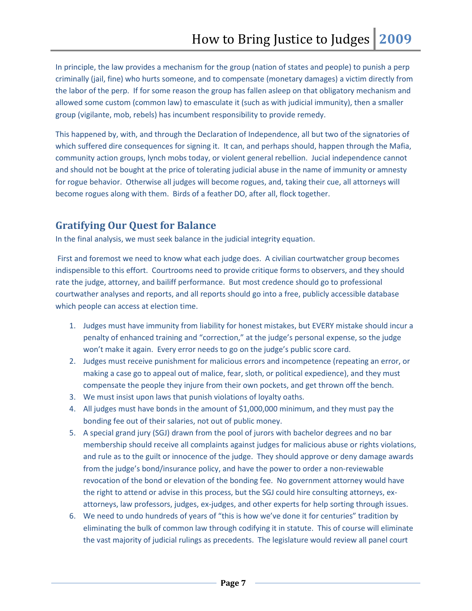In principle, the law provides a mechanism for the group (nation of states and people) to punish a perp criminally (jail, fine) who hurts someone, and to compensate (monetary damages) a victim directly from the labor of the perp. If for some reason the group has fallen asleep on that obligatory mechanism and allowed some custom (common law) to emasculate it (such as with judicial immunity), then a smaller group (vigilante, mob, rebels) has incumbent responsibility to provide remedy.

This happened by, with, and through the Declaration of Independence, all but two of the signatories of which suffered dire consequences for signing it. It can, and perhaps should, happen through the Mafia, community action groups, lynch mobs today, or violent general rebellion. Jucial independence cannot and should not be bought at the price of tolerating judicial abuse in the name of immunity or amnesty for rogue behavior. Otherwise all judges will become rogues, and, taking their cue, all attorneys will become rogues along with them. Birds of a feather DO, after all, flock together.

# <span id="page-6-0"></span>**Gratifying Our Quest for Balance**

In the final analysis, we must seek balance in the judicial integrity equation.

First and foremost we need to know what each judge does. A civilian courtwatcher group becomes indispensible to this effort. Courtrooms need to provide critique forms to observers, and they should rate the judge, attorney, and bailiff performance. But most credence should go to professional courtwather analyses and reports, and all reports should go into a free, publicly accessible database which people can access at election time.

- 1. Judges must have immunity from liability for honest mistakes, but EVERY mistake should incur a penalty of enhanced training and "correction," at the judge's personal expense, so the judge won't make it again. Every error needs to go on the judge's public score card.
- 2. Judges must receive punishment for malicious errors and incompetence (repeating an error, or making a case go to appeal out of malice, fear, sloth, or political expedience), and they must compensate the people they injure from their own pockets, and get thrown off the bench.
- 3. We must insist upon laws that punish violations of loyalty oaths.
- 4. All judges must have bonds in the amount of \$1,000,000 minimum, and they must pay the bonding fee out of their salaries, not out of public money.
- 5. A special grand jury (SGJ) drawn from the pool of jurors with bachelor degrees and no bar membership should receive all complaints against judges for malicious abuse or rights violations, and rule as to the guilt or innocence of the judge. They should approve or deny damage awards from the judge's bond/insurance policy, and have the power to order a non-reviewable revocation of the bond or elevation of the bonding fee. No government attorney would have the right to attend or advise in this process, but the SGJ could hire consulting attorneys, exattorneys, law professors, judges, ex-judges, and other experts for help sorting through issues.
- 6. We need to undo hundreds of years of "this is how we've done it for centuries" tradition by eliminating the bulk of common law through codifying it in statute. This of course will eliminate the vast majority of judicial rulings as precedents. The legislature would review all panel court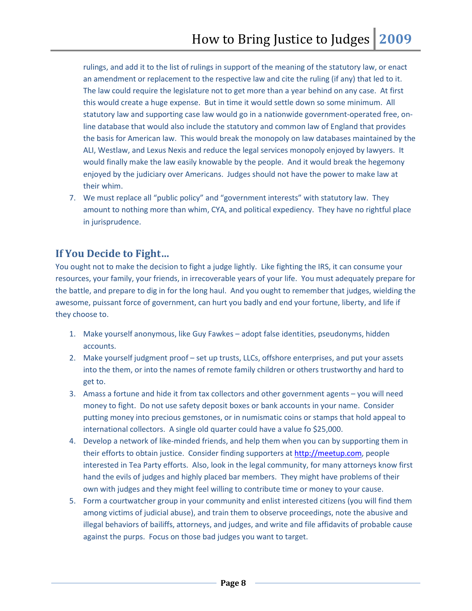rulings, and add it to the list of rulings in support of the meaning of the statutory law, or enact an amendment or replacement to the respective law and cite the ruling (if any) that led to it. The law could require the legislature not to get more than a year behind on any case. At first this would create a huge expense. But in time it would settle down so some minimum. All statutory law and supporting case law would go in a nationwide government-operated free, online database that would also include the statutory and common law of England that provides the basis for American law. This would break the monopoly on law databases maintained by the ALI, Westlaw, and Lexus Nexis and reduce the legal services monopoly enjoyed by lawyers. It would finally make the law easily knowable by the people. And it would break the hegemony enjoyed by the judiciary over Americans. Judges should not have the power to make law at their whim.

7. We must replace all "public policy" and "government interests" with statutory law. They amount to nothing more than whim, CYA, and political expediency. They have no rightful place in jurisprudence.

## <span id="page-7-0"></span>**If You Decide to Fight…**

You ought not to make the decision to fight a judge lightly. Like fighting the IRS, it can consume your resources, your family, your friends, in irrecoverable years of your life. You must adequately prepare for the battle, and prepare to dig in for the long haul. And you ought to remember that judges, wielding the awesome, puissant force of government, can hurt you badly and end your fortune, liberty, and life if they choose to.

- 1. Make yourself anonymous, like Guy Fawkes adopt false identities, pseudonyms, hidden accounts.
- 2. Make yourself judgment proof set up trusts, LLCs, offshore enterprises, and put your assets into the them, or into the names of remote family children or others trustworthy and hard to get to.
- 3. Amass a fortune and hide it from tax collectors and other government agents you will need money to fight. Do not use safety deposit boxes or bank accounts in your name. Consider putting money into precious gemstones, or in numismatic coins or stamps that hold appeal to international collectors. A single old quarter could have a value fo \$25,000.
- 4. Develop a network of like-minded friends, and help them when you can by supporting them in their efforts to obtain justice. Consider finding supporters at [http://meetup.com,](http://meetup.com/) people interested in Tea Party efforts. Also, look in the legal community, for many attorneys know first hand the evils of judges and highly placed bar members. They might have problems of their own with judges and they might feel willing to contribute time or money to your cause.
- 5. Form a courtwatcher group in your community and enlist interested citizens (you will find them among victims of judicial abuse), and train them to observe proceedings, note the abusive and illegal behaviors of bailiffs, attorneys, and judges, and write and file affidavits of probable cause against the purps. Focus on those bad judges you want to target.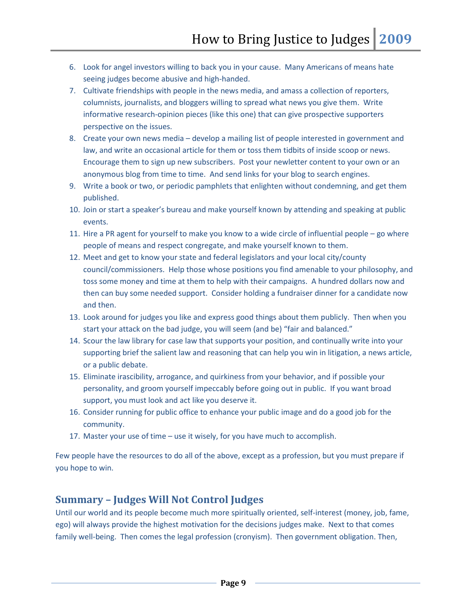- 6. Look for angel investors willing to back you in your cause. Many Americans of means hate seeing judges become abusive and high-handed.
- 7. Cultivate friendships with people in the news media, and amass a collection of reporters, columnists, journalists, and bloggers willing to spread what news you give them. Write informative research-opinion pieces (like this one) that can give prospective supporters perspective on the issues.
- 8. Create your own news media develop a mailing list of people interested in government and law, and write an occasional article for them or toss them tidbits of inside scoop or news. Encourage them to sign up new subscribers. Post your newletter content to your own or an anonymous blog from time to time. And send links for your blog to search engines.
- 9. Write a book or two, or periodic pamphlets that enlighten without condemning, and get them published.
- 10. Join or start a speaker's bureau and make yourself known by attending and speaking at public events.
- 11. Hire a PR agent for yourself to make you know to a wide circle of influential people go where people of means and respect congregate, and make yourself known to them.
- 12. Meet and get to know your state and federal legislators and your local city/county council/commissioners. Help those whose positions you find amenable to your philosophy, and toss some money and time at them to help with their campaigns. A hundred dollars now and then can buy some needed support. Consider holding a fundraiser dinner for a candidate now and then.
- 13. Look around for judges you like and express good things about them publicly. Then when you start your attack on the bad judge, you will seem (and be) "fair and balanced."
- 14. Scour the law library for case law that supports your position, and continually write into your supporting brief the salient law and reasoning that can help you win in litigation, a news article, or a public debate.
- 15. Eliminate irascibility, arrogance, and quirkiness from your behavior, and if possible your personality, and groom yourself impeccably before going out in public. If you want broad support, you must look and act like you deserve it.
- 16. Consider running for public office to enhance your public image and do a good job for the community.
- 17. Master your use of time use it wisely, for you have much to accomplish.

Few people have the resources to do all of the above, except as a profession, but you must prepare if you hope to win.

# <span id="page-8-0"></span>**Summary – Judges Will Not Control Judges**

Until our world and its people become much more spiritually oriented, self-interest (money, job, fame, ego) will always provide the highest motivation for the decisions judges make. Next to that comes family well-being. Then comes the legal profession (cronyism). Then government obligation. Then,